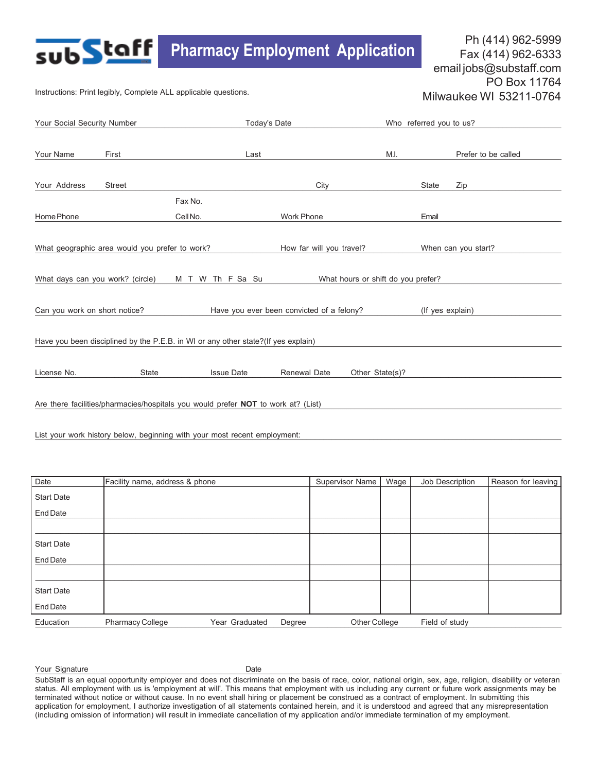# Ph (414) 962-5999<br>**Pharmacy Employment Application** Pax (414) 962-6333

Fax (414) 962-6333 email jobs@substaff.com PO Box 11764 Milwaukee WI 53211-0764

Instructions: Print legibly, Complete ALL applicable questions.

sub**Staff** 

| Your Social Security Number                                                                       |               |                     | Today's Date                              |                 | Who referred you to us? |                     |  |
|---------------------------------------------------------------------------------------------------|---------------|---------------------|-------------------------------------------|-----------------|-------------------------|---------------------|--|
| Your Name                                                                                         | First         | Last                |                                           | M.I.            |                         | Prefer to be called |  |
| Your Address                                                                                      | <b>Street</b> |                     | City                                      |                 | <b>State</b>            | Zip                 |  |
| Home Phone                                                                                        |               | Fax No.<br>Cell No. | <b>Work Phone</b>                         |                 | Email                   |                     |  |
| What geographic area would you prefer to work?<br>How far will you travel?<br>When can you start? |               |                     |                                           |                 |                         |                     |  |
| What days can you work? (circle)<br>What hours or shift do you prefer?<br>M T W Th F Sa Su        |               |                     |                                           |                 |                         |                     |  |
| Can you work on short notice?                                                                     |               |                     | Have you ever been convicted of a felony? |                 | (If yes explain)        |                     |  |
| Have you been disciplined by the P.E.B. in WI or any other state?(If yes explain)                 |               |                     |                                           |                 |                         |                     |  |
| License No.                                                                                       | <b>State</b>  | <b>Issue Date</b>   | Renewal Date                              | Other State(s)? |                         |                     |  |
| Are there facilities/pharmacies/hospitals you would prefer NOT to work at? (List)                 |               |                     |                                           |                 |                         |                     |  |

List your work history below, beginning with your most recent employment:

| Date              | Facility name, address & phone |                |        | <b>Supervisor Name</b> | Wage | Job Description | Reason for leaving |
|-------------------|--------------------------------|----------------|--------|------------------------|------|-----------------|--------------------|
| <b>Start Date</b> |                                |                |        |                        |      |                 |                    |
| End Date          |                                |                |        |                        |      |                 |                    |
|                   |                                |                |        |                        |      |                 |                    |
| <b>Start Date</b> |                                |                |        |                        |      |                 |                    |
| End Date          |                                |                |        |                        |      |                 |                    |
|                   |                                |                |        |                        |      |                 |                    |
| <b>Start Date</b> |                                |                |        |                        |      |                 |                    |
| End Date          |                                |                |        |                        |      |                 |                    |
| Education         | <b>Pharmacy College</b>        | Year Graduated | Degree | Other College          |      | Field of study  |                    |

Your Signature that the contract of the Date of the Date of the Contract of the Contract of the Contract of the Contract of the Contract of the Contract of the Contract of the Contract of the Contract of the Contract of th Your Signature Date

SubStaff is an equal opportunity employer and does not discriminate on the basis of race, color, national origin, sex, age, religion, disability or veteran status. All employment with us is 'employment at will'. This means that employment with us including any current or future work assignments may be terminated without notice or without cause. In no event shall hiring or placement be construed as a contract of employment. In submitting this application for employment, I authorize investigation of all statements contained herein, and it is understood and agreed that any misrepresentation (including omission of information) will result in immediate cancellation of my application and/or immediate termination of my employment.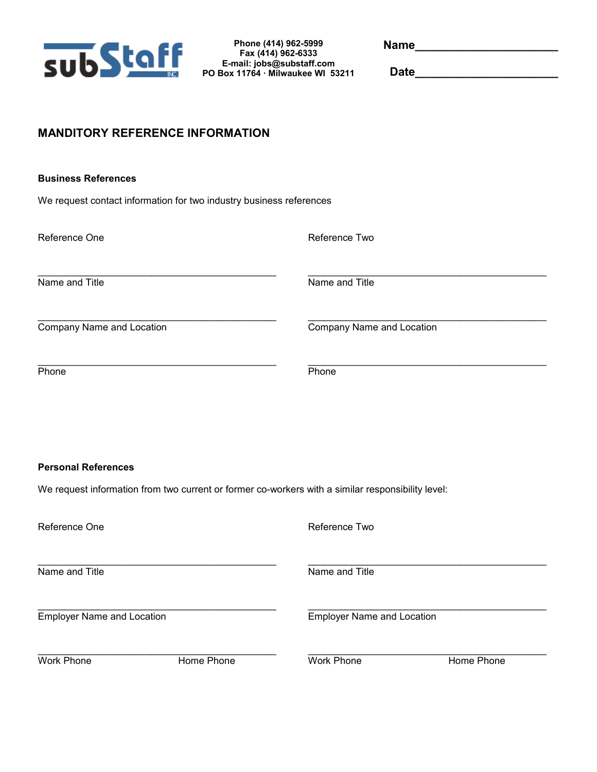

**Phone (414) 962-5999 Fax (414) 962-6333 E-mail: jobs@substaff.com PO Box 11764 · Milwaukee WI 53211**  **Name\_\_\_\_\_\_\_\_\_\_\_\_\_\_\_\_\_\_\_\_\_\_** 

**Date\_\_\_\_\_\_\_\_\_\_\_\_\_\_\_\_\_\_\_\_\_\_** 

## **MANDITORY REFERENCE INFORMATION**

#### **Business References**

We request contact information for two industry business references

| Reference One             | Reference Two             |  |  |  |
|---------------------------|---------------------------|--|--|--|
| Name and Title            | Name and Title            |  |  |  |
| Company Name and Location | Company Name and Location |  |  |  |
| Phone                     | Phone                     |  |  |  |

#### **Personal References**

We request information from two current or former co-workers with a similar responsibility level:

| Reference One                     |            | Reference Two                     |            |  |  |  |
|-----------------------------------|------------|-----------------------------------|------------|--|--|--|
| Name and Title                    |            | Name and Title                    |            |  |  |  |
| <b>Employer Name and Location</b> |            | <b>Employer Name and Location</b> |            |  |  |  |
| Work Phone                        | Home Phone | Work Phone                        | Home Phone |  |  |  |